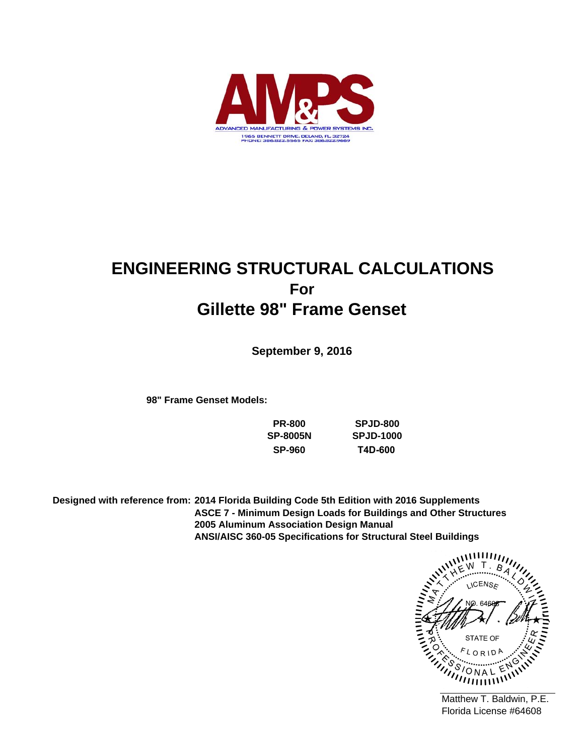

# **ENGINEERING STRUCTURAL CALCULATIONS For Gillette 98" Frame Genset**

**September 9, 2016**

**98" Frame Genset Models:**

**PR-800 SP-8005N SP-960**

**SPJD-800 SPJD-1000 T4D-600**

**ANSI/AISC 360-05 Specifications for Structural Steel Buildings ASCE 7 - Minimum Design Loads for Buildings and Other Structures 2005 Aluminum Association Design Manual Designed with reference from: 2014 Florida Building Code 5th Edition with 2016 Supplements**

**ICENS<sub>E</sub>** STATE OF  $\sqrt{ }$ ้ C  $^{\prime\prime\prime\prime\prime\prime\prime\prime\prime\prime\prime}$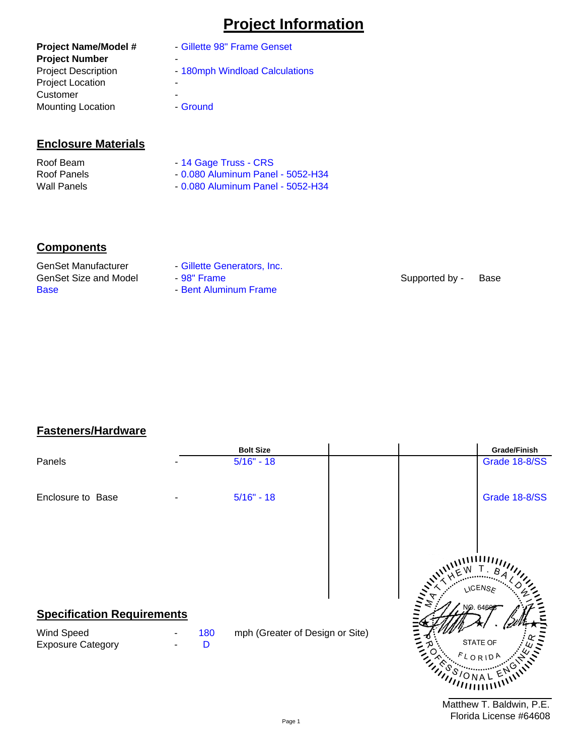# **Project Information**

# **Enclosure Materials**

| Roof Beam   | - 14 Gage Truss - CRS              |
|-------------|------------------------------------|
| Roof Panels | $-0.080$ Aluminum Panel - 5052-H34 |
| Wall Panels | - 0.080 Aluminum Panel - 5052-H34  |

# **Components**

Base GenSet Size and Model GenSet Manufacturer

- Gillette Generators, Inc.
- 98" Frame
- Bent Aluminum Frame

Supported by - Base

# **Fasteners/Hardware**

|                                                                             |          | <b>Bolt Size</b>                | Grade/Finish                                          |
|-----------------------------------------------------------------------------|----------|---------------------------------|-------------------------------------------------------|
| Panels                                                                      |          | $5/16" - 18$                    | Grade 18-8/SS                                         |
| Enclosure to Base                                                           |          | $5/16" - 18$                    | Grade 18-8/SS                                         |
|                                                                             |          |                                 | NCENS ک                                               |
| <b>Specification Requirements</b><br>Wind Speed<br><b>Exposure Category</b> | 180<br>D | mph (Greater of Design or Site) | NO. 64606<br>STATE OF<br>FLORIDA<br>$\eta_{\rm HIII}$ |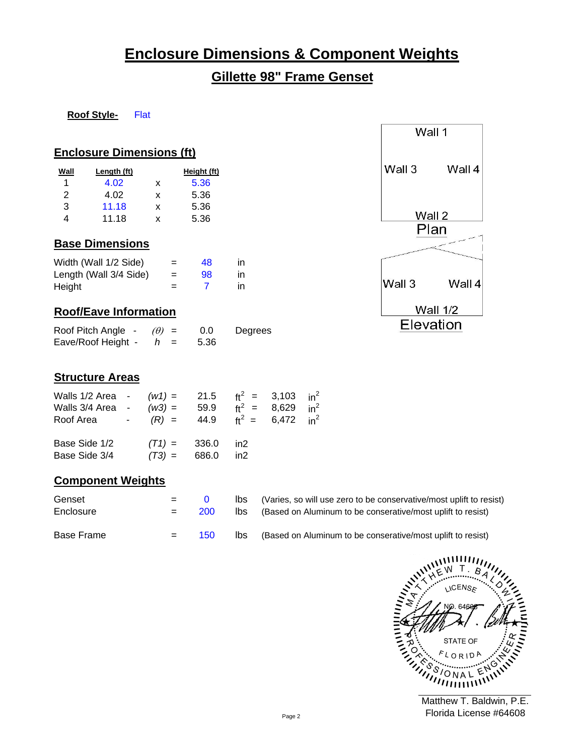# **Enclosure Dimensions & Component Weights**

# **Gillette 98" Frame Genset**

#### **Roof Style-**Flat

## **Enclosure Dimensions (ft)**

| Wall | Length (ft) |   | Height (ft) |
|------|-------------|---|-------------|
|      | 4.02        | x | 5.36        |
| 2    | 4.02        | x | 5.36        |
| 3    | 11.18       | x | 5.36        |
| 4    | 11.18       | x | 5.36        |

# **Base Dimensions**

| Width (Wall 1/2 Side)  | $=$ | 48 | in |
|------------------------|-----|----|----|
| Length (Wall 3/4 Side) | $=$ | 98 | in |
| Height                 | $=$ |    | in |

# **Roof/Eave Information**

| Roof Pitch Angle - | $(\theta) =$ | 0.0  | Degrees |
|--------------------|--------------|------|---------|
| Eave/Roof Height - | $=$          | 5.36 |         |

# **Structure Areas**

| Walls 1/2 Area - $(w1) = 21.5$ $ft^2 = 3.103$ $in^2$<br>Walls 3/4 Area - $(w3) = 59.9$ $ft^2 = 8.629$ $in^2$<br>Roof Area - $(R) = 44.9$ $ft^2 = 6,472$ $in^2$ |                                           |  |  |
|----------------------------------------------------------------------------------------------------------------------------------------------------------------|-------------------------------------------|--|--|
| Base Side 1/2<br>Base Side 3/4                                                                                                                                 | $(T1) = 336.0$ in 2<br>$(T3) = 686.0$ in2 |  |  |

# **Component Weights**

| Genset<br>Enclosure | $=$ | 200 | lbs<br>lbs. | (Varies, so will use zero to be conservative/most uplift to resist)<br>(Based on Aluminum to be conserative/most uplift to resist) |
|---------------------|-----|-----|-------------|------------------------------------------------------------------------------------------------------------------------------------|
| Base Frame          | $=$ | 150 | lbs.        | (Based on Aluminum to be conserative/most uplift to resist)                                                                        |

 $\mathbf{u}$ **JCENS<sub>E</sub>** STATE OF  $RID$ C ONAL 

|                | Wall 1   |  |  |  |  |  |  |
|----------------|----------|--|--|--|--|--|--|
| Wall 3         | Wall 4   |  |  |  |  |  |  |
| Wall 2<br>Plan |          |  |  |  |  |  |  |
| Wall 3         | Wall 4   |  |  |  |  |  |  |
|                | Wall 1/2 |  |  |  |  |  |  |
| Elevation      |          |  |  |  |  |  |  |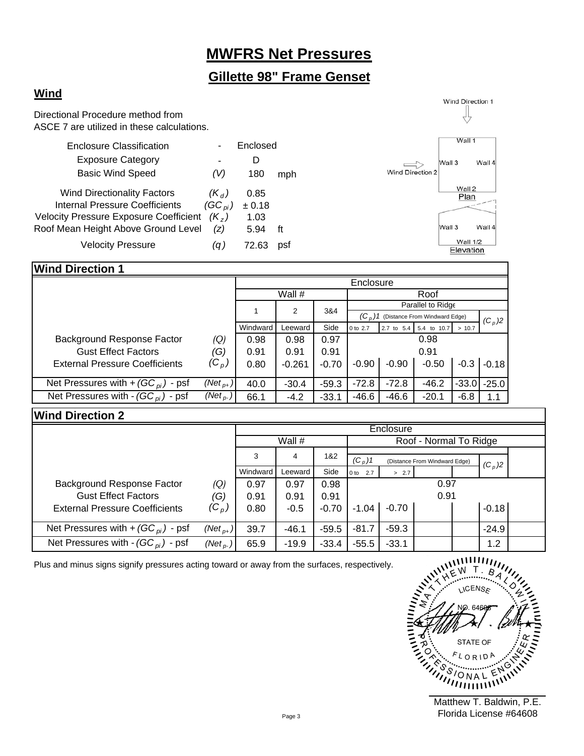# **MWFRS Net Pressures**

# **Gillette 98" Frame Genset**

# **Wind**

Directional Procedure method from ASCE 7 are utilized in these calculations.

|                                                          | D      |     |                  |                              | Wall 4                             |
|----------------------------------------------------------|--------|-----|------------------|------------------------------|------------------------------------|
| (V)                                                      | 180    | mph | Wind Direction 2 |                              |                                    |
| $(K_d)$                                                  | 0.85   |     |                  | Wall 2                       |                                    |
| $(GC_{pi})$                                              | ± 0.18 |     |                  |                              |                                    |
| $(K_z)$<br><b>Velocity Pressure Exposure Coefficient</b> | 1.03   |     |                  |                              |                                    |
| Roof Mean Height Above Ground Level<br>(z)               | 5.94   | ft  |                  |                              | Wall 4                             |
| (q )                                                     | 72.63  | psf |                  | <b>Wall 1/2</b><br>Elevation |                                    |
|                                                          |        |     | Enclosed         |                              | Wall 1<br>Wall 3<br>Plan<br>Wall 3 |

## **Wind Direction 1**

|                                        |                      |          |          | Enclosure |                                         |            |             |         |          |
|----------------------------------------|----------------------|----------|----------|-----------|-----------------------------------------|------------|-------------|---------|----------|
|                                        |                      |          | Wall #   |           | Roof                                    |            |             |         |          |
|                                        |                      |          |          |           | Parallel to Ridge                       |            |             |         |          |
|                                        |                      |          | 2<br>3&4 |           | $(C_n)$ 1 (Distance From Windward Edge) |            |             |         | $(C_p)2$ |
|                                        |                      | Windward | Leeward  | Side      | 0 to 2.7                                | 2.7 to 5.4 | 5.4 to 10.7 | > 10.7  |          |
| Background Response Factor             | (Q)                  | 0.98     | 0.98     | 0.97      |                                         |            | 0.98        |         |          |
| <b>Gust Effect Factors</b>             | (G)                  | 0.91     | 0.91     | 0.91      | 0.91                                    |            |             |         |          |
| <b>External Pressure Coefficients</b>  | ${}^{\prime}C_p$ ,   | 0.80     | $-0.261$ | $-0.70$   | $-0.90$                                 | $-0.90$    | $-0.50$     | $-0.3$  | $-0.18$  |
|                                        |                      |          |          |           |                                         |            |             |         |          |
| Net Pressures with + $(GC_{pi})$ - psf | $(Net_{p+})$         | 40.0     | $-30.4$  | $-59.3$   | $-72.8$                                 | $-72.8$    | $-46.2$     | $-33.0$ | $-25.0$  |
| Net Pressures with - $(GC_{pi})$ - psf | (Net <sub>p-</sub> ) | 66.1     | $-4.2$   | $-33.1$   | $-46.6$                                 | $-46.6$    | $-20.1$     | $-6.8$  | 1.1      |

## **Wind Direction 2**

|                                        |               | Enclosure     |         |         |                        |                               |      |  |          |  |
|----------------------------------------|---------------|---------------|---------|---------|------------------------|-------------------------------|------|--|----------|--|
|                                        |               |               | Wall #  |         | Roof - Normal To Ridge |                               |      |  |          |  |
|                                        |               | 1&2<br>3<br>4 |         |         | $(C_p)1$               | (Distance From Windward Edge) |      |  |          |  |
|                                        |               |               |         |         |                        |                               |      |  | $(C_p)2$ |  |
|                                        |               | Windward      | Leeward | Side    | 0 to 2.7               | > 2.7                         |      |  |          |  |
| Background Response Factor             | (Q)           | 0.97          | 0.97    | 0.98    |                        |                               | 0.97 |  |          |  |
| <b>Gust Effect Factors</b>             | (G)           | 0.91          | 0.91    | 0.91    |                        |                               | 0.91 |  |          |  |
| <b>External Pressure Coefficients</b>  | $({\rm C}_p)$ | 0.80          | $-0.5$  | $-0.70$ | $-1.04$                | $-0.70$                       |      |  | $-0.18$  |  |
|                                        |               |               |         |         |                        |                               |      |  |          |  |
| Net Pressures with + $(GC_{pi})$ - psf | $(Net_{p+})$  | 39.7          | $-46.1$ | $-59.5$ | $-81.7$                | $-59.3$                       |      |  | $-24.9$  |  |
| Net Pressures with - $(GC_{pi})$ - psf | (Net $_{p}$ ) | 65.9          | $-19.9$ | $-33.4$ | $-55.5$                | $-33.1$                       |      |  | 1.2      |  |

Plus and minus signs signify pressures acting toward or away from the surfaces, respectively.

linker<br>Mayo **JCENS<sub>E</sub> CALLANDER** STATE OF **CITY**  $\mathcal{F}$  $L$   $O$   $R$   $1$  $D$ G ،S ONAL Ъ  $^{\prime\prime}$ 

Wind Direction 1 Ų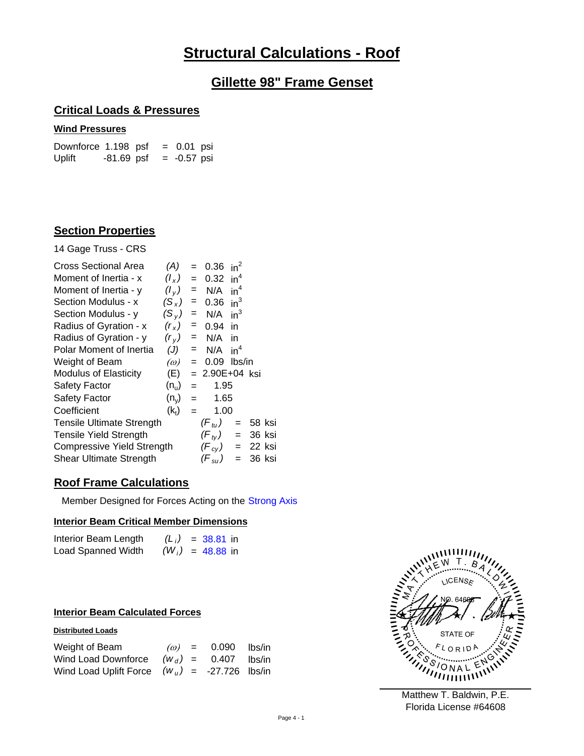# **Structural Calculations - Roof**

# **Gillette 98" Frame Genset**

## **Critical Loads & Pressures**

### **Wind Pressures**

Downforce  $1.198$  psf = 0.01 psi Uplift  $-81.69$  psf =  $-0.57$  psi

## **Section Properties**

14 Gage Truss - CRS

| <b>Cross Sectional Area</b>      | (A)               | $=$ | 0.36                | $in^2$ |            |  |
|----------------------------------|-------------------|-----|---------------------|--------|------------|--|
| Moment of Inertia - x            | $(l_x)$           | $=$ | $0.32 \text{ in}^4$ |        |            |  |
| Moment of Inertia - y            | $(l_v)$           | $=$ | N/A                 | $in^4$ |            |  |
| Section Modulus - x              | $(S_x)$           | =   | 0.36                | $in^3$ |            |  |
| Section Modulus - y              | $(S_v)$           | $=$ | N/A                 | $in^3$ |            |  |
| Radius of Gyration - x           | (r <sub>x</sub> ) | $=$ | 0.94 in             |        |            |  |
| Radius of Gyration - y           | $(r_v)$           |     | $= N/A$ in          |        |            |  |
| Polar Moment of Inertia          | (J)               | $=$ | N/A                 | $in^4$ |            |  |
| Weight of Beam                   | $\omega$          | $=$ | 0.09                | lbs/in |            |  |
| <b>Modulus of Elasticity</b>     | (E)               |     | $= 2.90E+04$ ksi    |        |            |  |
| <b>Safety Factor</b>             | $(n_u)$           | $=$ | 1.95                |        |            |  |
| Safety Factor                    | $(n_v)$           | $=$ | 1.65                |        |            |  |
| Coefficient                      | (k <sub>t</sub> ) | $=$ | 1.00                |        |            |  |
| <b>Tensile Ultimate Strength</b> |                   |     | $(F_{t}$            | $=$    | 58 ksi     |  |
| <b>Tensile Yield Strength</b>    |                   |     | $(F_{tV})$          |        | $= 36$ ksi |  |
| Compressive Yield Strength       |                   |     | $(F_{cy})$ =        |        | -22 ksi    |  |
| <b>Shear Ultimate Strength</b>   |                   |     | (F $_{\rm su}$ )    |        | 36 ksi     |  |
|                                  |                   |     |                     |        |            |  |

## **Roof Frame Calculations**

Member Designed for Forces Acting on the Strong Axis

### **Interior Beam Critical Member Dimensions**

| Interior Beam Length |  | $(L_i)$ = 38.81 in |
|----------------------|--|--------------------|
| Load Spanned Width   |  | $(W_i)$ = 48.88 in |

### **Interior Beam Calculated Forces**

### **Distributed Loads**

| Weight of Beam                                  |  | $\omega$ = 0.090 lbs/in |  |
|-------------------------------------------------|--|-------------------------|--|
| Wind Load Downforce $(W_d) = 0.407$ lbs/in      |  |                         |  |
| Wind Load Uplift Force $(w_u) = -27.726$ lbs/in |  |                         |  |

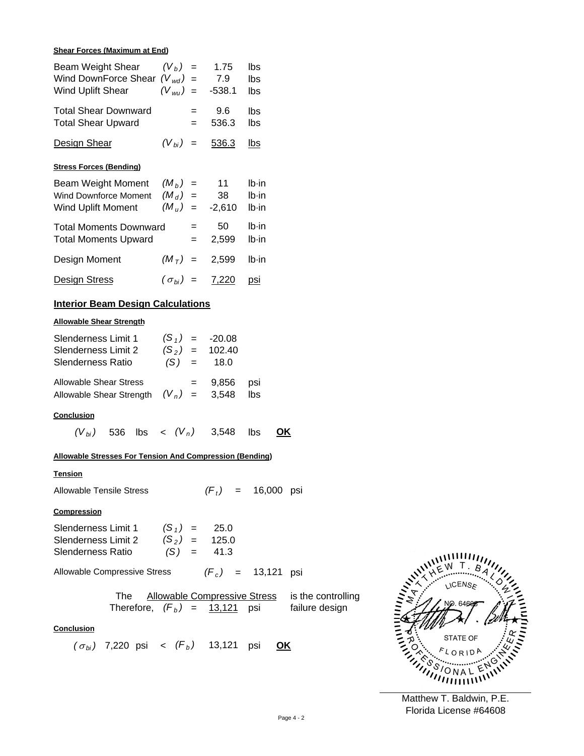#### **Shear Forces (Maximum at End)**

| Beam Weight Shear $(V_b)$ = 1.75<br>Wind DownForce Shear $(V_{wd}) = 7.9$<br>Wind Uplift Shear                     | $(V_{wu}) = -538.1$         |                              | Ibs<br>Ibs<br>Ibs    |                                                                                                       |
|--------------------------------------------------------------------------------------------------------------------|-----------------------------|------------------------------|----------------------|-------------------------------------------------------------------------------------------------------|
| Total Shear Downward<br>-<br><b>Total Shear Upward</b>                                                             |                             | $= 9.6$ lbs<br>$= 536.3$ lbs |                      |                                                                                                       |
| Design Shear                                                                                                       |                             | $(V_{bi}) = 536.3$ lbs       |                      |                                                                                                       |
| <b>Stress Forces (Bending)</b>                                                                                     |                             |                              |                      |                                                                                                       |
| Beam Weight Moment $(M_b)$ = 11<br>Wind Downforce Moment $(M_d)$ = 38<br>Wind Uplift Moment $(M_u) = -2,610$ lb-in |                             |                              | lb-in<br>lb-in       |                                                                                                       |
| <b>Total Moments Downward</b><br>Total Moments Upward $=$ 2,599 Ib-in                                              |                             | $= 50$ lb $\cdot$ in         |                      |                                                                                                       |
| Design Moment $(M_T) = 2,599$ lb-in                                                                                |                             |                              |                      |                                                                                                       |
| Design Stress                                                                                                      | $(\sigma_{bi}) = 7,220$ psi |                              |                      |                                                                                                       |
| <b>Interior Beam Design Calculations</b>                                                                           |                             |                              |                      |                                                                                                       |
| <b>Allowable Shear Strength</b>                                                                                    |                             |                              |                      |                                                                                                       |
| Slenderness Limit 1 $(S_1) = -20.08$<br>Slenderness Limit 2 $(S_2) = 102.40$<br>Slenderness Ratio                  | $(S) = 18.0$                |                              |                      |                                                                                                       |
| Allowable Shear Stress $\qquad \qquad = \qquad 9,856$ psi<br>Allowable Shear Strength $(V_n)$ = 3,548 lbs          |                             |                              |                      |                                                                                                       |
| <b>Conclusion</b>                                                                                                  |                             |                              |                      |                                                                                                       |
| $(V_{bi})$ 536 lbs < $(V_n)$ 3,548 lbs                                                                             |                             |                              | <u>OK</u>            |                                                                                                       |
| Allowable Stresses For Tension And Compression (Bending)                                                           |                             |                              |                      |                                                                                                       |
| <b>Tension</b>                                                                                                     |                             |                              |                      |                                                                                                       |
| <b>Allowable Tensile Stress</b>                                                                                    |                             |                              | $(F_t) = 16,000$ psi |                                                                                                       |
| Compression                                                                                                        |                             |                              |                      |                                                                                                       |
| Slenderness Limit 1 $(S_1) = 25.0$<br>Slenderness Limit 2 $(S_2) = 125.0$<br>Slenderness Ratio $(S) = 41.3$        |                             |                              |                      |                                                                                                       |
| Allowable Compressive Stress $(F_c)$ = 13,121 psi                                                                  |                             |                              |                      |                                                                                                       |
|                                                                                                                    |                             |                              |                      | The Allowable Compressive Stress is the controlling<br>Therefore, $(F_b) = 13,121$ psi failure design |
| <b>Conclusion</b>                                                                                                  |                             |                              |                      |                                                                                                       |
| $(\sigma_{bi})$ 7,220 psi < $(F_b)$ 13,121 psi <b>OK</b>                                                           |                             |                              |                      |                                                                                                       |

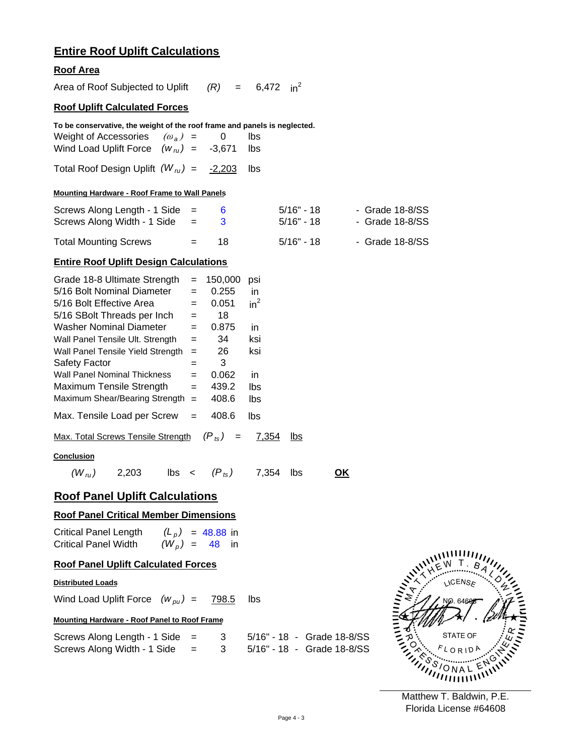# **Entire Roof Uplift Calculations**

## **Roof Area**

| Area of Roof Subjected to Uplift                                                                                                                                                                                                                                                                                                                                                                                                                                                                                                                                                                 |                                                                                                               | $(R) = 6,472 \text{ in}^2$                                                                  |                 |
|--------------------------------------------------------------------------------------------------------------------------------------------------------------------------------------------------------------------------------------------------------------------------------------------------------------------------------------------------------------------------------------------------------------------------------------------------------------------------------------------------------------------------------------------------------------------------------------------------|---------------------------------------------------------------------------------------------------------------|---------------------------------------------------------------------------------------------|-----------------|
| <b>Roof Uplift Calculated Forces</b>                                                                                                                                                                                                                                                                                                                                                                                                                                                                                                                                                             |                                                                                                               |                                                                                             |                 |
| To be conservative, the weight of the roof frame and panels is neglected.<br>Weight of Accessories $(\omega_a)$ =<br>Wind Load Uplift Force $(w_{\tau} = -3.671)$<br>Total Roof Design Uplift $(W_{ru}) = -2,203$<br><b>Mounting Hardware - Roof Frame to Wall Panels</b>                                                                                                                                                                                                                                                                                                                        | 0                                                                                                             | lbs<br>lbs<br>Ibs                                                                           |                 |
| Screws Along Length - 1 Side<br>$=$                                                                                                                                                                                                                                                                                                                                                                                                                                                                                                                                                              | 6                                                                                                             | 5/16" - 18                                                                                  | - Grade 18-8/SS |
| Screws Along Width - 1 Side<br>$=$                                                                                                                                                                                                                                                                                                                                                                                                                                                                                                                                                               | 3                                                                                                             | 5/16" - 18                                                                                  | - Grade 18-8/SS |
| <b>Total Mounting Screws</b><br>$=$                                                                                                                                                                                                                                                                                                                                                                                                                                                                                                                                                              | 18                                                                                                            | $5/16"$ - 18                                                                                | - Grade 18-8/SS |
| <b>Entire Roof Uplift Design Calculations</b>                                                                                                                                                                                                                                                                                                                                                                                                                                                                                                                                                    |                                                                                                               |                                                                                             |                 |
| Grade 18-8 Ultimate Strength<br>$=$<br>5/16 Bolt Nominal Diameter<br>$=$<br>5/16 Bolt Effective Area<br>$=$<br>5/16 SBolt Threads per Inch<br>$=$<br><b>Washer Nominal Diameter</b><br>$=$<br>Wall Panel Tensile Ult. Strength<br>$=$<br>Wall Panel Tensile Yield Strength<br>$=$<br><b>Safety Factor</b><br>$=$<br><b>Wall Panel Nominal Thickness</b><br>$=$<br>Maximum Tensile Strength<br>$=$<br>Maximum Shear/Bearing Strength =<br>Max. Tensile Load per Screw<br>$=$<br>Max. Total Screws Tensile Strength<br><b>Conclusion</b><br>$\mathsf{lbs}$ ( $\mathsf{P}_{\mathsf{ts}}$ )<br>2,203 | 150,000<br>0.255<br>0.051<br>18<br>0.875<br>34<br>26<br>3<br>0.062<br>439.2<br>408.6<br>408.6<br>$(P_{ts})$ = | psi<br>in<br>$in^2$<br>in<br>ksi<br>ksi<br>in<br>lbs<br>lbs<br>lbs<br>7,354<br>lbs<br>7,354 |                 |
| $(W_{n})$                                                                                                                                                                                                                                                                                                                                                                                                                                                                                                                                                                                        |                                                                                                               | lbs                                                                                         | <u>OK</u>       |
| <b>Roof Panel Uplift Calculations</b>                                                                                                                                                                                                                                                                                                                                                                                                                                                                                                                                                            |                                                                                                               |                                                                                             |                 |
| <b>Roof Panel Critical Member Dimensions</b><br>Critical Panel Length $(L_p) = 48.88$ in                                                                                                                                                                                                                                                                                                                                                                                                                                                                                                         |                                                                                                               |                                                                                             |                 |
| $(W_p) = 48$ in<br><b>Critical Panel Width</b>                                                                                                                                                                                                                                                                                                                                                                                                                                                                                                                                                   |                                                                                                               |                                                                                             |                 |
| <b>Roof Panel Uplift Calculated Forces</b>                                                                                                                                                                                                                                                                                                                                                                                                                                                                                                                                                       |                                                                                                               |                                                                                             |                 |
| <b>Distributed Loads</b>                                                                                                                                                                                                                                                                                                                                                                                                                                                                                                                                                                         |                                                                                                               |                                                                                             |                 |
| Wind Load Uplift Force $(w_{\rho u}) =$                                                                                                                                                                                                                                                                                                                                                                                                                                                                                                                                                          | 798.5                                                                                                         | lbs                                                                                         |                 |
| Mounting Hardware - Roof Panel to Roof Frame                                                                                                                                                                                                                                                                                                                                                                                                                                                                                                                                                     |                                                                                                               |                                                                                             |                 |

| Screws Along Length - $1$ Side = |     |  | 5/16" - 18 - Grade 18-8/SS |
|----------------------------------|-----|--|----------------------------|
| Screws Along Width - 1 Side      | $=$ |  | 5/16" - 18 - Grade 18-8/SS |

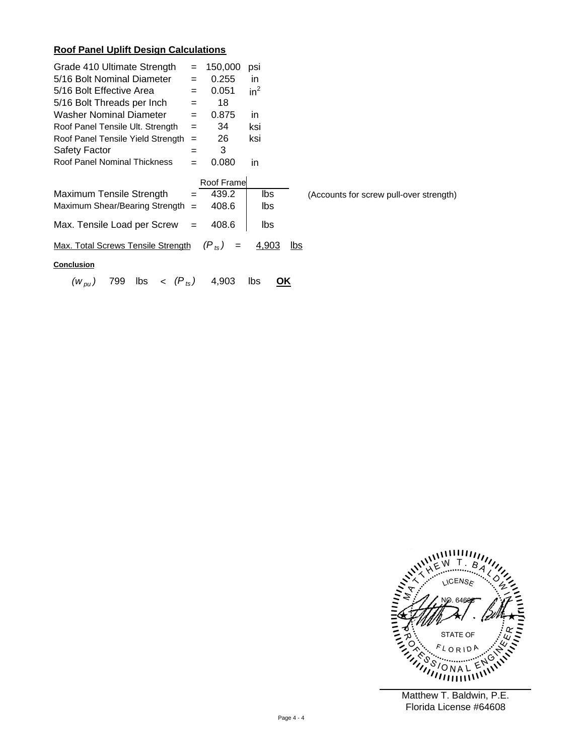## **Roof Panel Uplift Design Calculations**

| Grade 410 Ultimate Strength<br>5/16 Bolt Nominal Diameter<br>5/16 Bolt Effective Area<br>5/16 Bolt Threads per Inch<br>Washer Nominal Diameter<br>Roof Panel Tensile Ult. Strength<br>Roof Panel Tensile Yield Strength<br>Safety Factor<br>Roof Panel Nominal Thickness | $=$<br>$=$<br>$=$<br>$=$<br>$=$<br>$=$<br>$=$<br>$=$<br>$=$ | 150,000<br>0.255<br>0.051<br>18<br>0.875<br>34<br>26<br>3<br>0.080 | psi<br>in.<br>$in^2$<br>in.<br>ksi<br>ksi<br>in |      |                                         |  |  |
|--------------------------------------------------------------------------------------------------------------------------------------------------------------------------------------------------------------------------------------------------------------------------|-------------------------------------------------------------|--------------------------------------------------------------------|-------------------------------------------------|------|-----------------------------------------|--|--|
| Maximum Tensile Strength<br>Maximum Shear/Bearing Strength $=$<br>Max. Tensile Load per Screw<br>Max. Total Screws Tensile Strength                                                                                                                                      | $=$<br>$=$                                                  | Roof Frame<br>439.2<br>408.6<br>408.6<br>$(P_{ts})$<br>$=$         | lbs<br>lbs<br>lbs<br>4,903                      | lbs. | (Accounts for screw pull-over strength) |  |  |
| <b>Conclusion</b><br>$\langle P_{ts} \rangle$<br>799<br>lbs<br>4,903<br>lbs<br><u>OK</u><br>$(W_{\rho U})$                                                                                                                                                               |                                                             |                                                                    |                                                 |      |                                         |  |  |

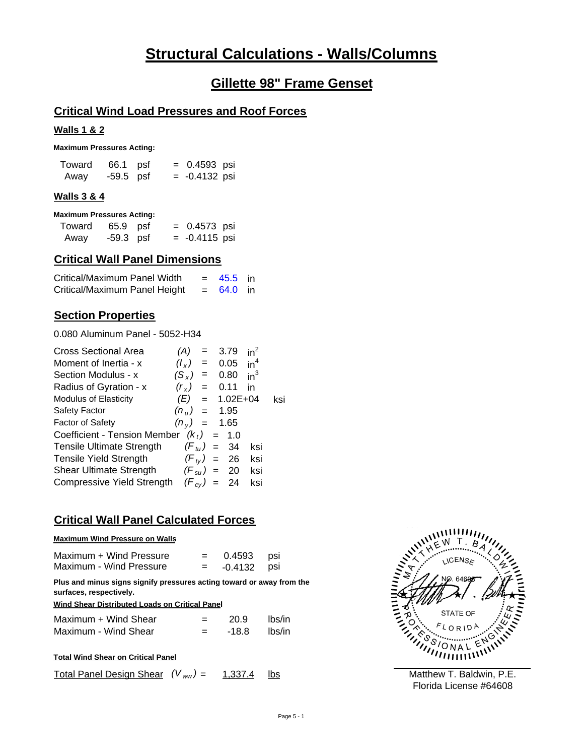# **Structural Calculations - Walls/Columns**

# **Gillette 98" Frame Genset**

## **Critical Wind Load Pressures and Roof Forces**

#### **Walls 1 & 2**

**Maximum Pressures Acting:**

| Toward | 66.1 psf  | $= 0.4593$ psi  |  |
|--------|-----------|-----------------|--|
| Away   | -59.5 psf | $= -0.4132$ psi |  |

### **Walls 3 & 4**

|  | <b>Maximum Pressures Acting:</b> |  |
|--|----------------------------------|--|
|--|----------------------------------|--|

| Toward | 65.9 psf  | $= 0.4573$ psi  |  |
|--------|-----------|-----------------|--|
| Away   | -59.3 psf | $= -0.4115$ psi |  |

# **Critical Wall Panel Dimensions**

| Critical/Maximum Panel Width  | $= 45.5$ in |  |
|-------------------------------|-------------|--|
| Critical/Maximum Panel Height | $= 64.0$ in |  |

## **Section Properties**

0.080 Aluminum Panel - 5052-H34

| <b>Cross Sectional Area</b>                | (A)         |                           | $= 3.79$             | $in^2$          |     |
|--------------------------------------------|-------------|---------------------------|----------------------|-----------------|-----|
| Moment of Inertia - x                      | $(l_x)$     | $\mathbf{r} = \mathbf{r}$ | 0.05                 | in <sup>4</sup> |     |
| Section Modulus - x                        | $(S_x)$     | $=$                       | 0.80                 | $in^3$          |     |
| Radius of Gyration - x                     | $(r_{x})$ = |                           | 0.11                 | in              |     |
| Modulus of Elasticity                      |             |                           | $(E) = 1.02E+04$     |                 | ksi |
| Safety Factor                              |             |                           | $(n_{\rm H}) = 1.95$ |                 |     |
| Factor of Safety                           |             |                           | $(n_v) = 1.65$       |                 |     |
| Coefficient - Tension Member $(k_t) = 1.0$ |             |                           |                      |                 |     |
| <b>Tensile Ultimate Strength</b>           |             |                           | $(F_{tu}) = 34$      | ksi             |     |
| <b>Tensile Yield Strength</b>              |             |                           | $(F_{tV}) = 26$      | ksi             |     |
| Shear Ultimate Strength $(F_{su}) = 20$    |             |                           |                      | ksi             |     |
| Compressive Yield Strength                 |             |                           | $(F_{cv}) = 24$      | ksi             |     |

## **Critical Wall Panel Calculated Forces**

#### **Maximum Wind Pressure on Walls**

| Maximum + Wind Pressure | $=$ $-$ | 0.4593 psi  |  |
|-------------------------|---------|-------------|--|
| Maximum - Wind Pressure | $=$     | -0.4132 psi |  |

**Plus and minus signs signify pressures acting toward or away from the surfaces, respectively.**

#### **Wind Shear Distributed Loads on Critical Panel**

| Maximum + Wind Shear | $=$ | 20.9  | lbs/in |
|----------------------|-----|-------|--------|
| Maximum - Wind Shear | $=$ | -18.8 | lbs/in |

|--|

1,337.4 lbs Total Panel Design Shear  $(V_{ww}) = 1,337.4$ 

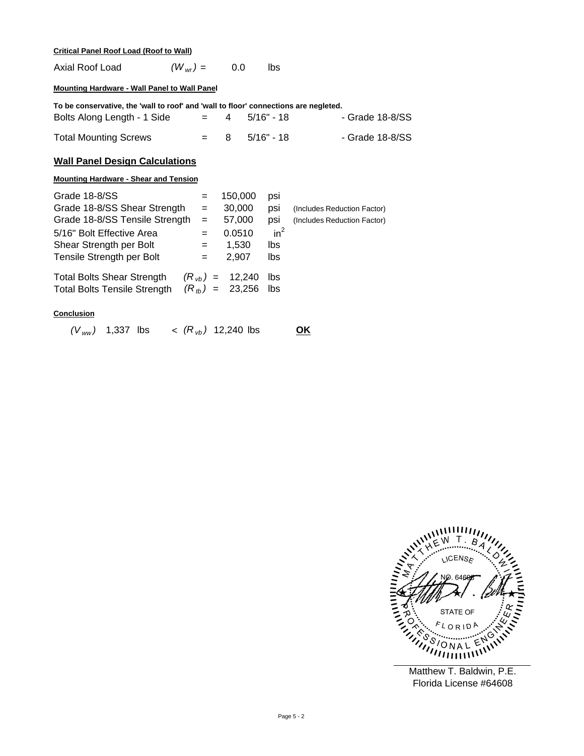#### **Critical Panel Roof Load (Roof to Wall)**

| Axial Roof Load | $(W_{wr}) =$ | 0.0 | lbs |
|-----------------|--------------|-----|-----|
|                 |              |     |     |

#### **Mounting Hardware - Wall Panel to Wall Panel**

| To be conservative, the 'wall to roof' and 'wall to floor' connections are negleted. |  |                  |                 |
|--------------------------------------------------------------------------------------|--|------------------|-----------------|
| Bolts Along Length - 1 Side                                                          |  | $= 4 5/16" - 18$ | - Grade 18-8/SS |
| <b>Total Mounting Screws</b>                                                         |  | $=$ 8 5/16" - 18 | - Grade 18-8/SS |

### **Wall Panel Design Calculations**

#### **Mounting Hardware - Shear and Tension**

| Grade 18-8/SS                       | $=$ | 150,000             | psi    |                             |
|-------------------------------------|-----|---------------------|--------|-----------------------------|
| Grade 18-8/SS Shear Strength        | $=$ | 30,000              | psi    | (Includes Reduction Factor) |
| Grade 18-8/SS Tensile Strength      | $=$ | 57,000              | psi    | (Includes Reduction Factor) |
| 5/16" Bolt Effective Area           | $=$ | 0.0510              | $in^2$ |                             |
| Shear Strength per Bolt             | $=$ | 1.530               | lbs    |                             |
| Tensile Strength per Bolt           | $=$ | 2.907               | lbs    |                             |
| <b>Total Bolts Shear Strength</b>   |     | $(R_{vh}) = 12,240$ | lbs.   |                             |
| <b>Total Bolts Tensile Strength</b> |     | $(R_{th}) = 23,256$ | lbs    |                             |
|                                     |     |                     |        |                             |

### **Conclusion**

*(V ww )* 1,337 lbs < lbs *(R vb )* 12,240 **OK**



Florida License #64608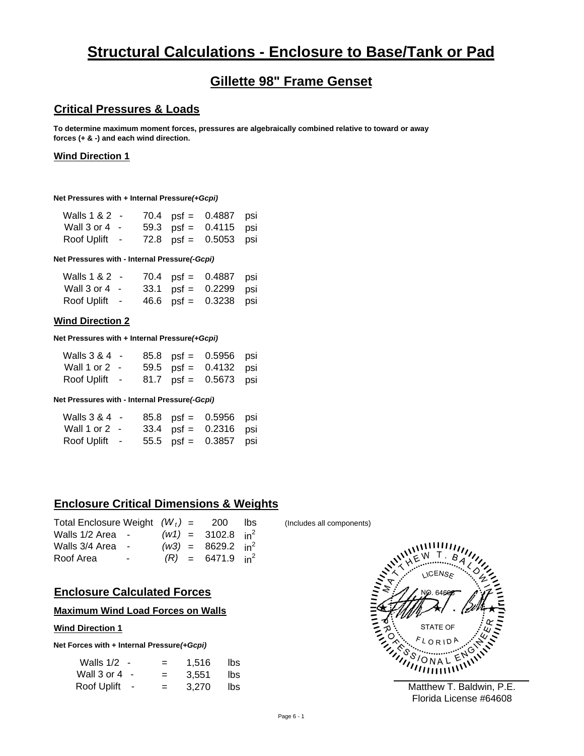# **Structural Calculations - Enclosure to Base/Tank or Pad**

# **Gillette 98" Frame Genset**

## **Critical Pressures & Loads**

**To determine maximum moment forces, pressures are algebraically combined relative to toward or away forces (+ & -) and each wind direction.**

#### **Wind Direction 1**

**Net Pressures with + Internal Pressure(+Gcpi)** 

| Walls 1 & 2 -     |  | 70.4 $psi = 0.4887$ psi |  |
|-------------------|--|-------------------------|--|
| Wall $3$ or $4$ - |  | 59.3 $psf = 0.4115$ psi |  |
| Roof Uplift -     |  | 72.8 $psf = 0.5053$ psi |  |

**Net Pressures with - Internal Pressure(-Gcpi)** 

| Walls 1 & 2 -     |  | 70.4 $psf = 0.4887$ psi |  |
|-------------------|--|-------------------------|--|
| Wall $3$ or $4$ - |  | 33.1 $psf = 0.2299$ psi |  |
| Roof Uplift -     |  | 46.6 $psi = 0.3238$ psi |  |

### **Wind Direction 2**

**Net Pressures with + Internal Pressure(+Gcpi)** 

| Walls 3 & 4 -   |  | 85.8 psf = 0.5956 psi   |  |
|-----------------|--|-------------------------|--|
| Wall 1 or 2 $-$ |  | 59.5 $psi = 0.4132$ psi |  |
| Roof Uplift -   |  | 81.7 $psf = 0.5673$ psi |  |

#### **Net Pressures with - Internal Pressure** *(-Gcpi)*

| Walls 3 & 4 -   |  | $85.8$ psf = 0.5956 psi |  |
|-----------------|--|-------------------------|--|
| Wall 1 or 2 $-$ |  | $33.4$ psf = 0.2316 psi |  |
| Roof Uplift -   |  | 55.5 psf = 0.3857 psi   |  |

# **Enclosure Critical Dimensions & Weights**

| Walls 1/2 Area - |  |                                                                                                                                               |
|------------------|--|-----------------------------------------------------------------------------------------------------------------------------------------------|
| Walls 3/4 Area - |  |                                                                                                                                               |
| $\sim$           |  |                                                                                                                                               |
|                  |  | Total Enclosure Weight $(W_t) = 200$ lbs<br>$(w1) = 3102.8$ in <sup>2</sup><br>$(w3) = 8629.2 \text{ in}^2$<br>$(R) = 6471.9$ in <sup>2</sup> |

## **Enclosure Calculated Forces**

#### **Maximum Wind Load Forces on Walls**

#### **Wind Direction 1**

**Net Forces with + Internal Pressure** *(+Gcpi)*

| Walls 1/2   | $=$ | 1,516 | lbs |
|-------------|-----|-------|-----|
| Wall 3 or 4 | $=$ | 3.551 | lbs |
| Roof Uplift | $=$ | 3.270 | lbs |

(Includes all components)



Florida License #64608